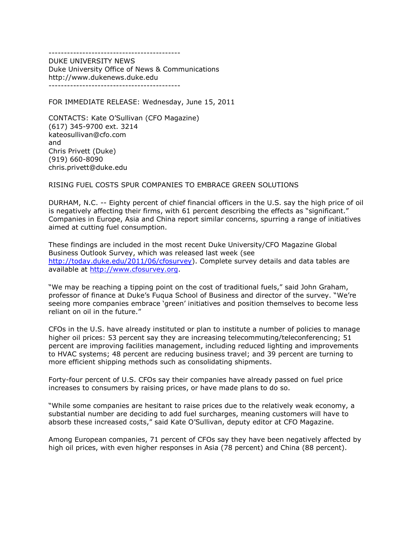-------------------------------------------

DUKE UNIVERSITY NEWS Duke University Office of News & Communications http://www.dukenews.duke.edu -------------------------------------------

FOR IMMEDIATE RELEASE: Wednesday, June 15, 2011

CONTACTS: Kate O"Sullivan (CFO Magazine) (617) 345-9700 ext. 3214 kateosullivan@cfo.com and Chris Privett (Duke) (919) 660-8090 chris.privett@duke.edu

## RISING FUEL COSTS SPUR COMPANIES TO EMBRACE GREEN SOLUTIONS

DURHAM, N.C. -- Eighty percent of chief financial officers in the U.S. say the high price of oil is negatively affecting their firms, with 61 percent describing the effects as "significant." Companies in Europe, Asia and China report similar concerns, spurring a range of initiatives aimed at cutting fuel consumption.

These findings are included in the most recent Duke University/CFO Magazine Global Business Outlook Survey, which was released last week (see [http://today.duke.edu/2011/06/cfosurvey\)](http://today.duke.edu/2011/06/cfosurvey). Complete survey details and data tables are available at [http://www.cfosurvey.org.](http://www.cfosurvey.org/)

"We may be reaching a tipping point on the cost of traditional fuels," said John Graham, professor of finance at Duke"s Fuqua School of Business and director of the survey. "We"re seeing more companies embrace 'green' initiatives and position themselves to become less reliant on oil in the future."

CFOs in the U.S. have already instituted or plan to institute a number of policies to manage higher oil prices: 53 percent say they are increasing telecommuting/teleconferencing; 51 percent are improving facilities management, including reduced lighting and improvements to HVAC systems; 48 percent are reducing business travel; and 39 percent are turning to more efficient shipping methods such as consolidating shipments.

Forty-four percent of U.S. CFOs say their companies have already passed on fuel price increases to consumers by raising prices, or have made plans to do so.

"While some companies are hesitant to raise prices due to the relatively weak economy, a substantial number are deciding to add fuel surcharges, meaning customers will have to absorb these increased costs," said Kate O"Sullivan, deputy editor at CFO Magazine.

Among European companies, 71 percent of CFOs say they have been negatively affected by high oil prices, with even higher responses in Asia (78 percent) and China (88 percent).